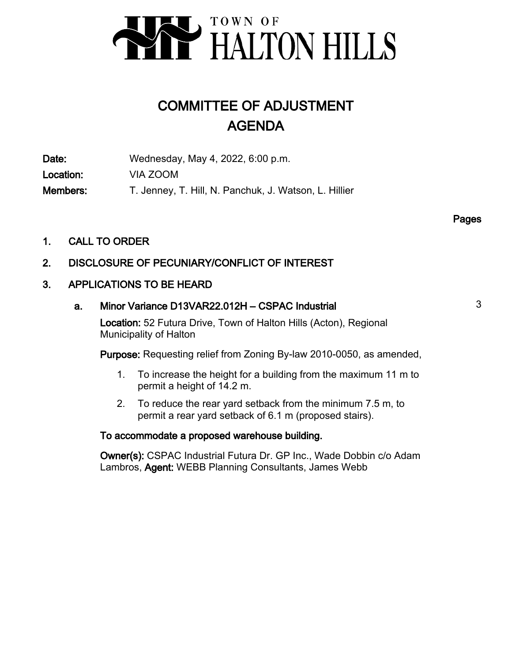

# COMMITTEE OF ADJUSTMENT AGENDA

Date: Wednesday, May 4, 2022, 6:00 p.m. Location: VIA ZOOM Members: T. Jenney, T. Hill, N. Panchuk, J. Watson, L. Hillier

Pages

1. CALL TO ORDER

# 2. DISCLOSURE OF PECUNIARY/CONFLICT OF INTEREST

# 3. APPLICATIONS TO BE HEARD

# a. Minor Variance D13VAR22.012H – CSPAC Industrial 3

Location: 52 Futura Drive, Town of Halton Hills (Acton), Regional Municipality of Halton

Purpose: Requesting relief from Zoning By-law 2010-0050, as amended,

- To increase the height for a building from the maximum 11 m to permit a height of 14.2 m. 1.
- To reduce the rear yard setback from the minimum 7.5 m, to permit a rear yard setback of 6.1 m (proposed stairs). 2.

# To accommodate a proposed warehouse building.

Owner(s): CSPAC Industrial Futura Dr. GP Inc., Wade Dobbin c/o Adam Lambros, Agent: WEBB Planning Consultants, James Webb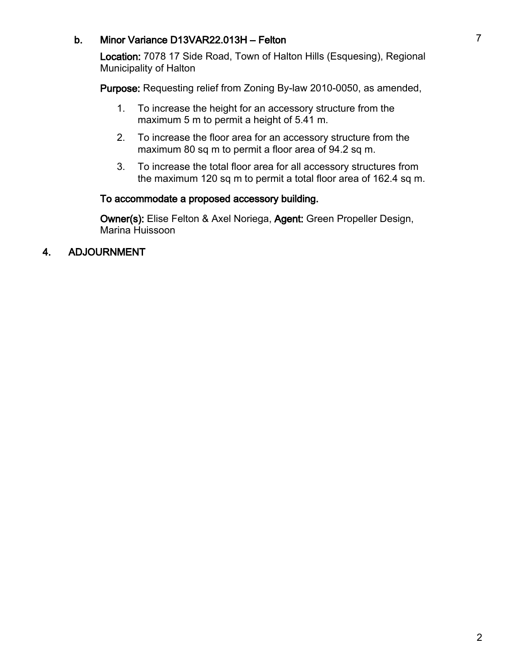# b. Minor Variance D13VAR22.013H – Felton 7

Location: 7078 17 Side Road, Town of Halton Hills (Esquesing), Regional Municipality of Halton

Purpose: Requesting relief from Zoning By-law 2010-0050, as amended,

- To increase the height for an accessory structure from the maximum 5 m to permit a height of 5.41 m. 1.
- To increase the floor area for an accessory structure from the maximum 80 sq m to permit a floor area of 94.2 sq m. 2.
- To increase the total floor area for all accessory structures from the maximum 120 sq m to permit a total floor area of 162.4 sq m. 3.

# To accommodate a proposed accessory building.

Owner(s): Elise Felton & Axel Noriega, Agent: Green Propeller Design, Marina Huissoon

# 4. ADJOURNMENT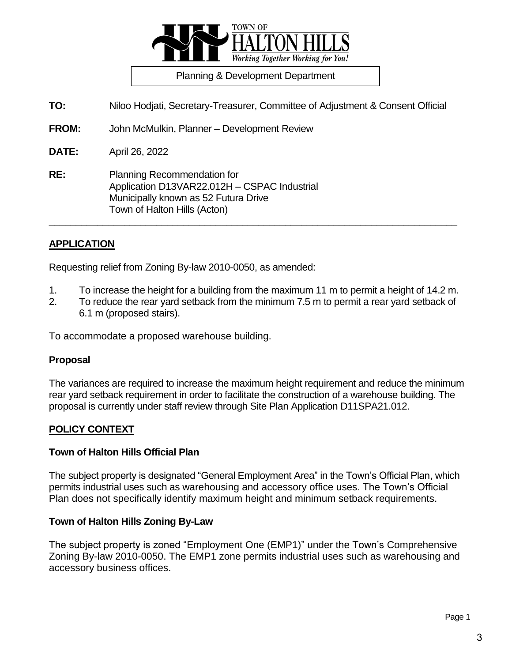

Planning & Development Department

**TO:** Niloo Hodjati, Secretary-Treasurer, Committee of Adjustment & Consent Official

**FROM:** John McMulkin, Planner – Development Review

**DATE:** April 26, 2022

**RE:** Planning Recommendation for Application D13VAR22.012H – CSPAC Industrial Municipally known as 52 Futura Drive Town of Halton Hills (Acton)

# **APPLICATION**

Requesting relief from Zoning By-law 2010-0050, as amended:

1. To increase the height for a building from the maximum 11 m to permit a height of 14.2 m.

**\_\_\_\_\_\_\_\_\_\_\_\_\_\_\_\_\_\_\_\_\_\_\_\_\_\_\_\_\_\_\_\_\_\_\_\_\_\_\_\_\_\_\_\_\_\_\_\_\_\_\_\_\_\_\_\_\_\_\_\_\_\_\_\_\_\_\_\_\_\_\_\_\_\_\_\_**

2. To reduce the rear yard setback from the minimum 7.5 m to permit a rear yard setback of 6.1 m (proposed stairs).

To accommodate a proposed warehouse building.

#### **Proposal**

The variances are required to increase the maximum height requirement and reduce the minimum rear yard setback requirement in order to facilitate the construction of a warehouse building. The proposal is currently under staff review through Site Plan Application D11SPA21.012.

# **POLICY CONTEXT**

#### **Town of Halton Hills Official Plan**

The subject property is designated "General Employment Area" in the Town's Official Plan, which permits industrial uses such as warehousing and accessory office uses. The Town's Official Plan does not specifically identify maximum height and minimum setback requirements.

#### **Town of Halton Hills Zoning By-Law**

The subject property is zoned "Employment One (EMP1)" under the Town's Comprehensive Zoning By-law 2010-0050. The EMP1 zone permits industrial uses such as warehousing and accessory business offices.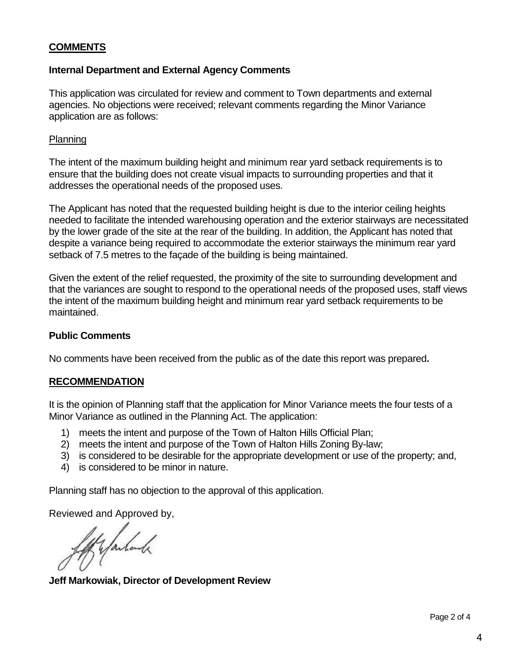# **COMMENTS**

# **Internal Department and External Agency Comments**

This application was circulated for review and comment to Town departments and external agencies. No objections were received; relevant comments regarding the Minor Variance application are as follows:

#### **Planning**

The intent of the maximum building height and minimum rear yard setback requirements is to ensure that the building does not create visual impacts to surrounding properties and that it addresses the operational needs of the proposed uses.

The Applicant has noted that the requested building height is due to the interior ceiling heights needed to facilitate the intended warehousing operation and the exterior stairways are necessitated by the lower grade of the site at the rear of the building. In addition, the Applicant has noted that despite a variance being required to accommodate the exterior stairways the minimum rear yard setback of 7.5 metres to the façade of the building is being maintained.

Given the extent of the relief requested, the proximity of the site to surrounding development and that the variances are sought to respond to the operational needs of the proposed uses, staff views the intent of the maximum building height and minimum rear yard setback requirements to be maintained.

#### **Public Comments**

No comments have been received from the public as of the date this report was prepared**.** 

#### **RECOMMENDATION**

It is the opinion of Planning staff that the application for Minor Variance meets the four tests of a Minor Variance as outlined in the Planning Act. The application:

- 1) meets the intent and purpose of the Town of Halton Hills Official Plan;
- 2) meets the intent and purpose of the Town of Halton Hills Zoning By-law;
- 3) is considered to be desirable for the appropriate development or use of the property; and,
- 4) is considered to be minor in nature.

Planning staff has no objection to the approval of this application.

Reviewed and Approved by,<br>for farland the set of the set of the set of the set of the set of the set of the set of the set of the set of the set of the set of the set of the set of the set of the set of the set of the set

**Jeff Markowiak, Director of Development Review**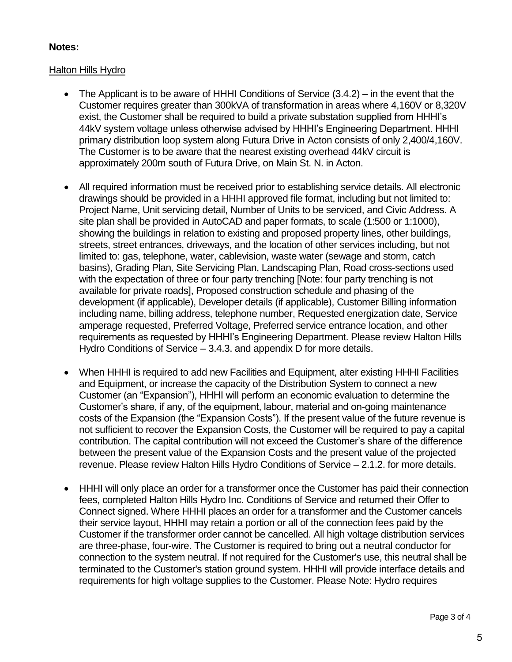# **Notes:**

# Halton Hills Hydro

- The Applicant is to be aware of HHHI Conditions of Service (3.4.2) in the event that the Customer requires greater than 300kVA of transformation in areas where 4,160V or 8,320V exist, the Customer shall be required to build a private substation supplied from HHHI's 44kV system voltage unless otherwise advised by HHHI's Engineering Department. HHHI primary distribution loop system along Futura Drive in Acton consists of only 2,400/4,160V. The Customer is to be aware that the nearest existing overhead 44kV circuit is approximately 200m south of Futura Drive, on Main St. N. in Acton.
- All required information must be received prior to establishing service details. All electronic drawings should be provided in a HHHI approved file format, including but not limited to: Project Name, Unit servicing detail, Number of Units to be serviced, and Civic Address. A site plan shall be provided in AutoCAD and paper formats, to scale (1:500 or 1:1000), showing the buildings in relation to existing and proposed property lines, other buildings, streets, street entrances, driveways, and the location of other services including, but not limited to: gas, telephone, water, cablevision, waste water (sewage and storm, catch basins), Grading Plan, Site Servicing Plan, Landscaping Plan, Road cross-sections used with the expectation of three or four party trenching [Note: four party trenching is not available for private roads], Proposed construction schedule and phasing of the development (if applicable), Developer details (if applicable), Customer Billing information including name, billing address, telephone number, Requested energization date, Service amperage requested, Preferred Voltage, Preferred service entrance location, and other requirements as requested by HHHI's Engineering Department. Please review Halton Hills Hydro Conditions of Service – 3.4.3. and appendix D for more details.
- When HHHI is required to add new Facilities and Equipment, alter existing HHHI Facilities and Equipment, or increase the capacity of the Distribution System to connect a new Customer (an "Expansion"), HHHI will perform an economic evaluation to determine the Customer's share, if any, of the equipment, labour, material and on-going maintenance costs of the Expansion (the "Expansion Costs"). If the present value of the future revenue is not sufficient to recover the Expansion Costs, the Customer will be required to pay a capital contribution. The capital contribution will not exceed the Customer's share of the difference between the present value of the Expansion Costs and the present value of the projected revenue. Please review Halton Hills Hydro Conditions of Service – 2.1.2. for more details.
- HHHI will only place an order for a transformer once the Customer has paid their connection fees, completed Halton Hills Hydro Inc. Conditions of Service and returned their Offer to Connect signed. Where HHHI places an order for a transformer and the Customer cancels their service layout, HHHI may retain a portion or all of the connection fees paid by the Customer if the transformer order cannot be cancelled. All high voltage distribution services are three-phase, four-wire. The Customer is required to bring out a neutral conductor for connection to the system neutral. If not required for the Customer's use, this neutral shall be terminated to the Customer's station ground system. HHHI will provide interface details and requirements for high voltage supplies to the Customer. Please Note: Hydro requires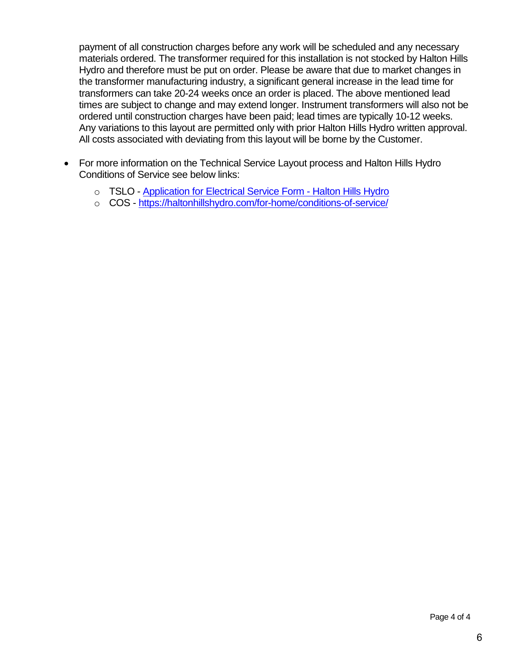payment of all construction charges before any work will be scheduled and any necessary materials ordered. The transformer required for this installation is not stocked by Halton Hills Hydro and therefore must be put on order. Please be aware that due to market changes in the transformer manufacturing industry, a significant general increase in the lead time for transformers can take 20-24 weeks once an order is placed. The above mentioned lead times are subject to change and may extend longer. Instrument transformers will also not be ordered until construction charges have been paid; lead times are typically 10-12 weeks. Any variations to this layout are permitted only with prior Halton Hills Hydro written approval. All costs associated with deviating from this layout will be borne by the Customer.

- For more information on the Technical Service Layout process and Halton Hills Hydro Conditions of Service see below links:
	- o TSLO [Application for Electrical Service Form -](https://haltonhillshydro.com/for-home/building-upgrades-or-demolition/new-service-upgrades/application-electrical-service-form/) Halton Hills Hydro
	- o COS <https://haltonhillshydro.com/for-home/conditions-of-service/>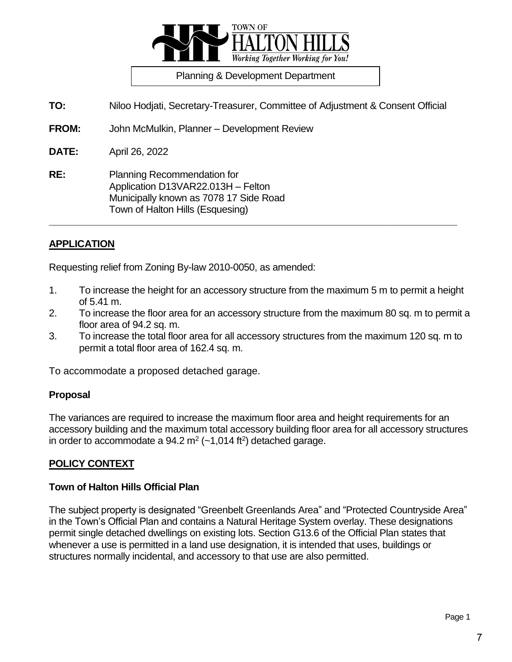

Planning & Development Department

**TO:** Niloo Hodjati, Secretary-Treasurer, Committee of Adjustment & Consent Official

**FROM:** John McMulkin, Planner – Development Review

**DATE:** April 26, 2022

**RE:** Planning Recommendation for Application D13VAR22.013H – Felton Municipally known as 7078 17 Side Road Town of Halton Hills (Esquesing)

# **APPLICATION**

Requesting relief from Zoning By-law 2010-0050, as amended:

1. To increase the height for an accessory structure from the maximum 5 m to permit a height of 5.41 m.

**\_\_\_\_\_\_\_\_\_\_\_\_\_\_\_\_\_\_\_\_\_\_\_\_\_\_\_\_\_\_\_\_\_\_\_\_\_\_\_\_\_\_\_\_\_\_\_\_\_\_\_\_\_\_\_\_\_\_\_\_\_\_\_\_\_\_\_\_\_\_\_\_\_\_\_\_**

- 2. To increase the floor area for an accessory structure from the maximum 80 sq. m to permit a floor area of 94.2 sq. m.
- 3. To increase the total floor area for all accessory structures from the maximum 120 sq. m to permit a total floor area of 162.4 sq. m.

To accommodate a proposed detached garage.

# **Proposal**

The variances are required to increase the maximum floor area and height requirements for an accessory building and the maximum total accessory building floor area for all accessory structures in order to accommodate a  $94.2$  m<sup>2</sup> ( $\sim$ 1,014 ft<sup>2</sup>) detached garage.

# **POLICY CONTEXT**

# **Town of Halton Hills Official Plan**

The subject property is designated "Greenbelt Greenlands Area" and "Protected Countryside Area" in the Town's Official Plan and contains a Natural Heritage System overlay. These designations permit single detached dwellings on existing lots. Section G13.6 of the Official Plan states that whenever a use is permitted in a land use designation, it is intended that uses, buildings or structures normally incidental, and accessory to that use are also permitted.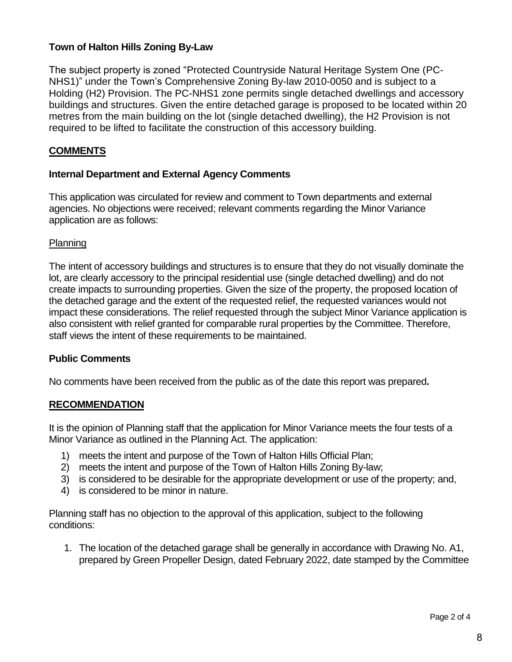# **Town of Halton Hills Zoning By-Law**

The subject property is zoned "Protected Countryside Natural Heritage System One (PC-NHS1)" under the Town's Comprehensive Zoning By-law 2010-0050 and is subject to a Holding (H2) Provision. The PC-NHS1 zone permits single detached dwellings and accessory buildings and structures. Given the entire detached garage is proposed to be located within 20 metres from the main building on the lot (single detached dwelling), the H2 Provision is not required to be lifted to facilitate the construction of this accessory building.

# **COMMENTS**

# **Internal Department and External Agency Comments**

This application was circulated for review and comment to Town departments and external agencies. No objections were received; relevant comments regarding the Minor Variance application are as follows:

# Planning

The intent of accessory buildings and structures is to ensure that they do not visually dominate the lot, are clearly accessory to the principal residential use (single detached dwelling) and do not create impacts to surrounding properties. Given the size of the property, the proposed location of the detached garage and the extent of the requested relief, the requested variances would not impact these considerations. The relief requested through the subject Minor Variance application is also consistent with relief granted for comparable rural properties by the Committee. Therefore, staff views the intent of these requirements to be maintained.

# **Public Comments**

No comments have been received from the public as of the date this report was prepared**.** 

#### **RECOMMENDATION**

It is the opinion of Planning staff that the application for Minor Variance meets the four tests of a Minor Variance as outlined in the Planning Act. The application:

- 1) meets the intent and purpose of the Town of Halton Hills Official Plan;
- 2) meets the intent and purpose of the Town of Halton Hills Zoning By-law;
- 3) is considered to be desirable for the appropriate development or use of the property; and,
- 4) is considered to be minor in nature.

Planning staff has no objection to the approval of this application, subject to the following conditions:

1. The location of the detached garage shall be generally in accordance with Drawing No. A1, prepared by Green Propeller Design, dated February 2022, date stamped by the Committee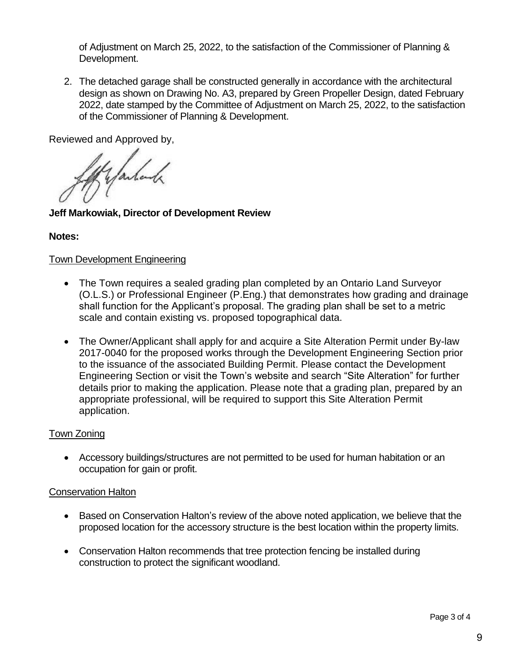of Adjustment on March 25, 2022, to the satisfaction of the Commissioner of Planning & Development.

2. The detached garage shall be constructed generally in accordance with the architectural design as shown on Drawing No. A3, prepared by Green Propeller Design, dated February 2022, date stamped by the Committee of Adjustment on March 25, 2022, to the satisfaction of the Commissioner of Planning & Development.

Reviewed and Approved by,

of yantank

**Jeff Markowiak, Director of Development Review**

# **Notes:**

# Town Development Engineering

- The Town requires a sealed grading plan completed by an Ontario Land Surveyor (O.L.S.) or Professional Engineer (P.Eng.) that demonstrates how grading and drainage shall function for the Applicant's proposal. The grading plan shall be set to a metric scale and contain existing vs. proposed topographical data.
- The Owner/Applicant shall apply for and acquire a Site Alteration Permit under By-law 2017-0040 for the proposed works through the Development Engineering Section prior to the issuance of the associated Building Permit. Please contact the Development Engineering Section or visit the Town's website and search "Site Alteration" for further details prior to making the application. Please note that a grading plan, prepared by an appropriate professional, will be required to support this Site Alteration Permit application.

# Town Zoning

 Accessory buildings/structures are not permitted to be used for human habitation or an occupation for gain or profit.

# Conservation Halton

- Based on Conservation Halton's review of the above noted application, we believe that the proposed location for the accessory structure is the best location within the property limits.
- Conservation Halton recommends that tree protection fencing be installed during construction to protect the significant woodland.